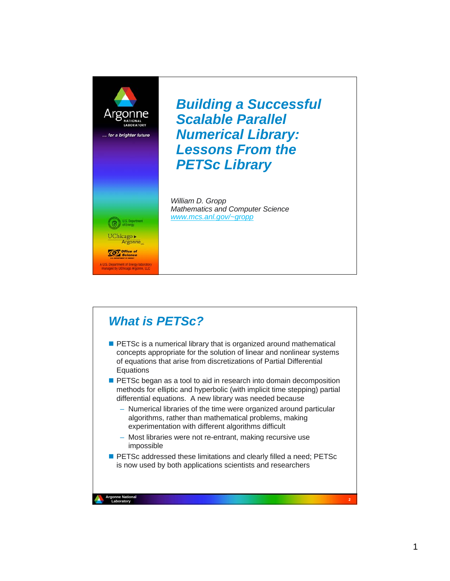

*Building a Successful Scalable Parallel Numerical Library: Lessons From the PETSc Library*

*William D. Gropp Mathematics and Computer Science www.mcs.anl.gov/~gropp*

## *What is PETSc?*

- **PETSC** is a numerical library that is organized around mathematical concepts appropriate for the solution of linear and nonlinear systems of equations that arise from discretizations of Partial Differential **Equations**
- **PETSc began as a tool to aid in research into domain decomposition** methods for elliptic and hyperbolic (with implicit time stepping) partial differential equations. A new library was needed because
	- Numerical libraries of the time were organized around particular algorithms, rather than mathematical problems, making experimentation with different algorithms difficult
	- Most libraries were not re-entrant, making recursive use impossible
- PETSc addressed these limitations and clearly filled a need; PETSc is now used by both applications scientists and researchers

**<sup>2</sup> Argonne National Argonne National**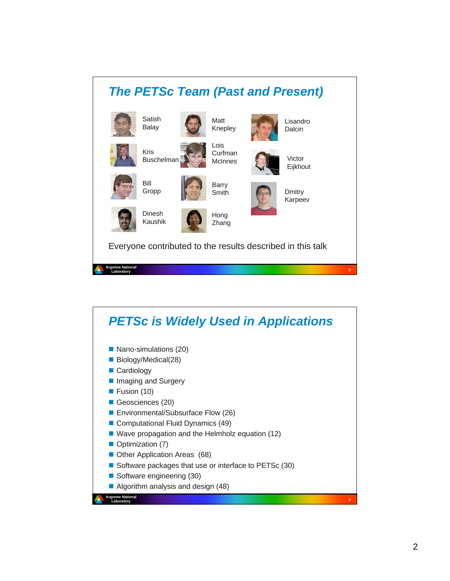#### **<sup>3</sup> Argonne National Laboratory** *The PETSc Team (Past and Present)* Dinesh Kaushik Kris **Buschelman Satish** Balay Bill Gropp Lois Curfman **McInnes** Barry Smith Hong Zhang Matt Knepley Lisandro Dalcin Victor Eijkhout Dmitry Karpeev Everyone contributed to the results described in this talk

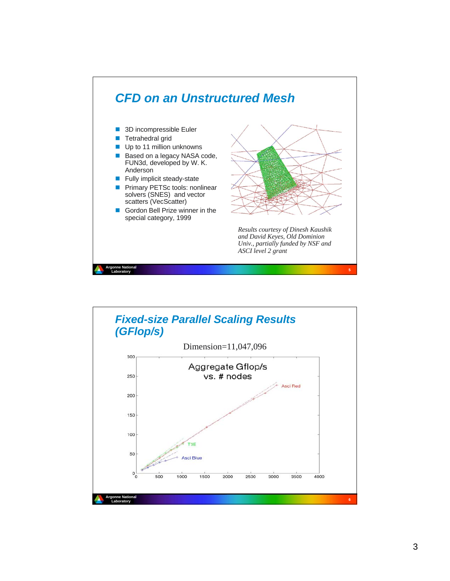

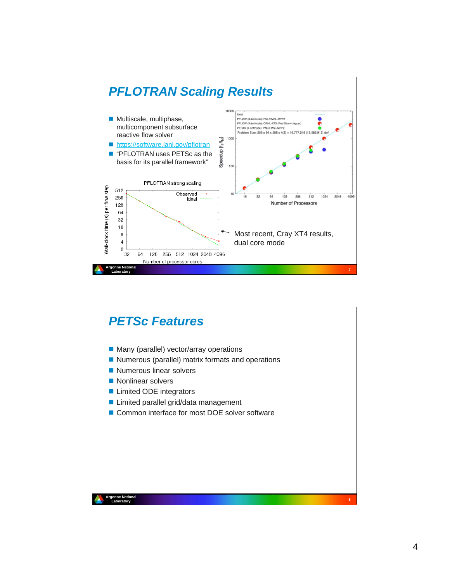

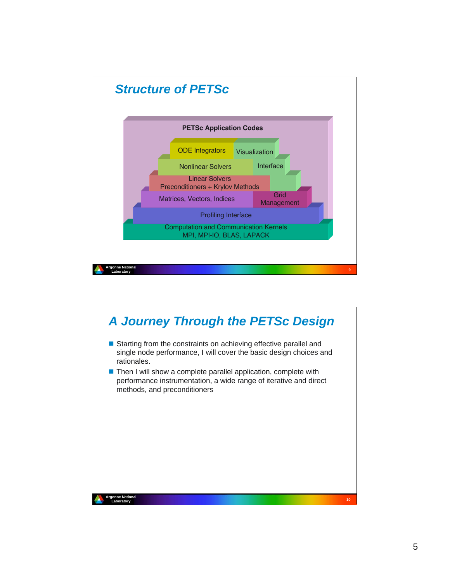

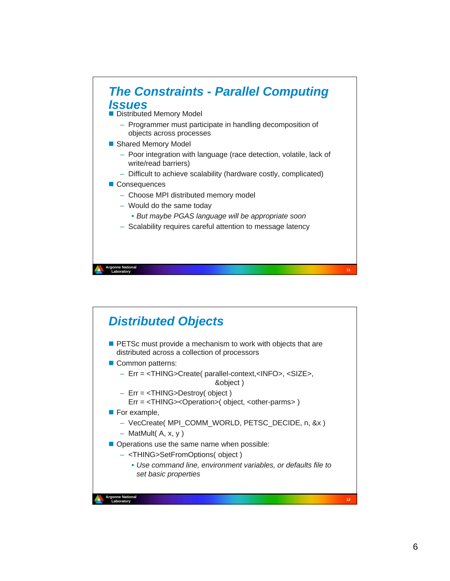

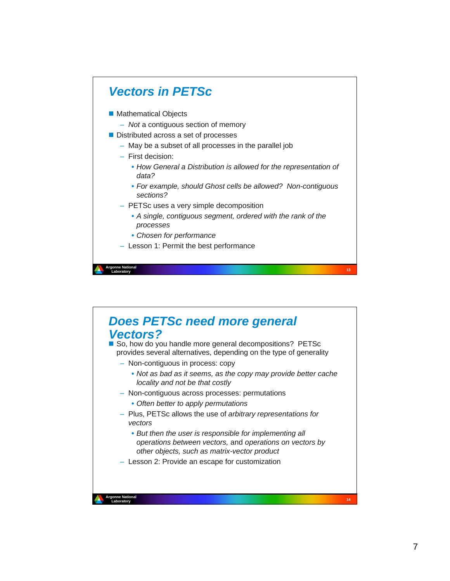

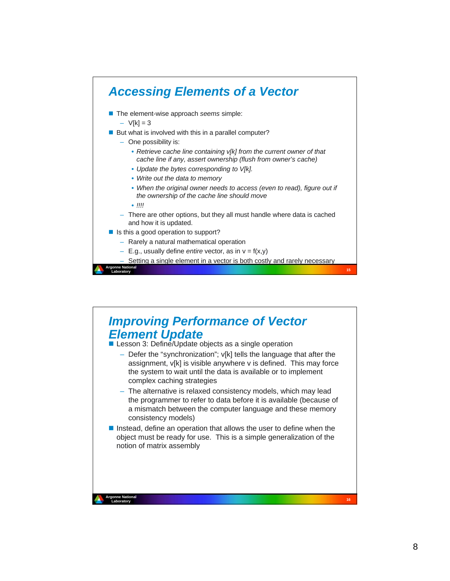

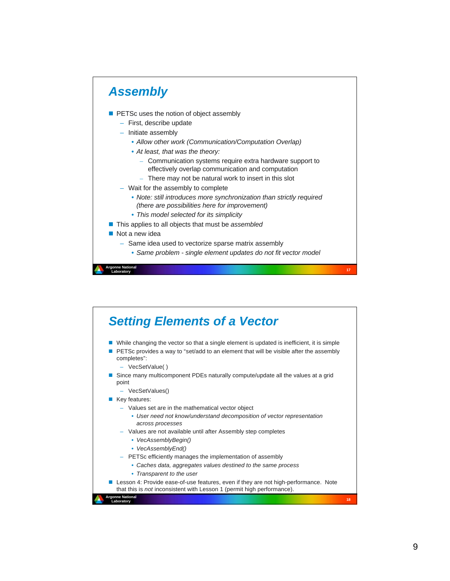

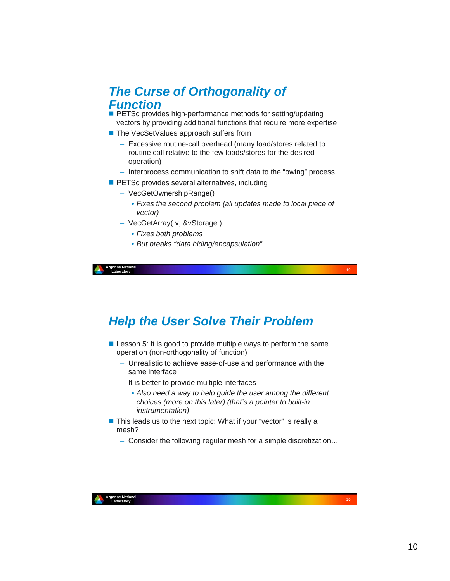

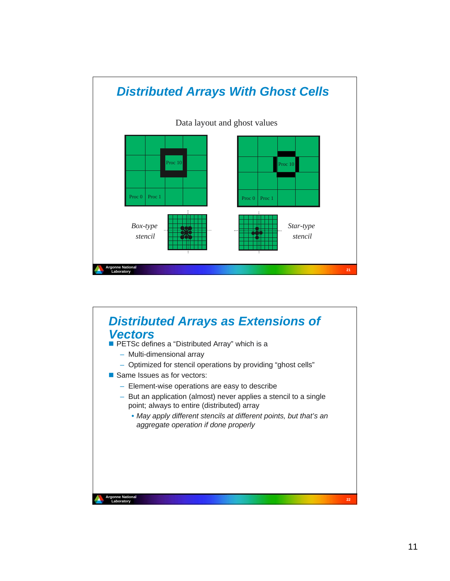

# **<sup>22</sup> Argonne National Laboratory**<br>Laboratory *Distributed Arrays as Extensions of Vectors* **PETSc defines a "Distributed Array" which is a** – Multi-dimensional array – Optimized for stencil operations by providing "ghost cells" Same Issues as for vectors: – Element-wise operations are easy to describe – But an application (almost) never applies a stencil to a single point; always to entire (distributed) array • *May apply different stencils at different points, but that's an aggregate operation if done properly*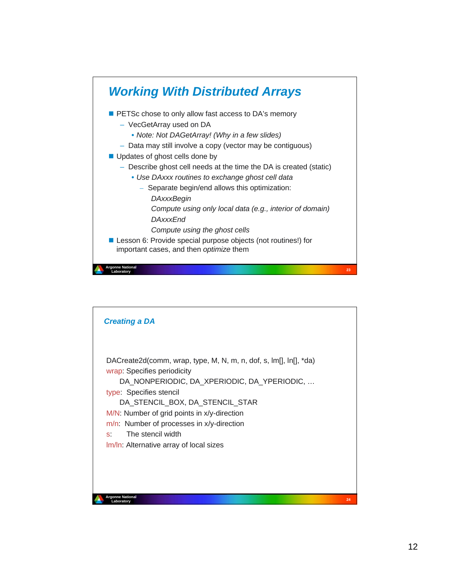

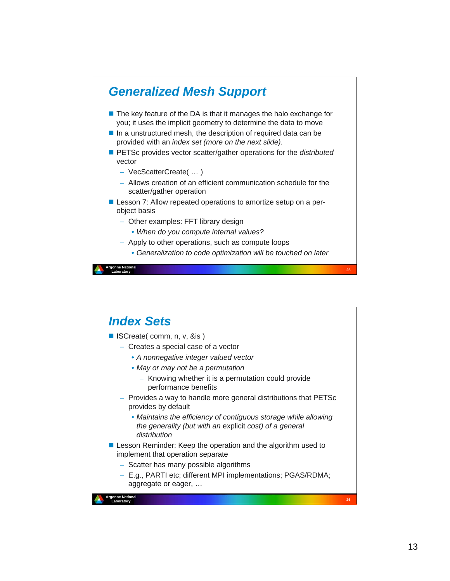

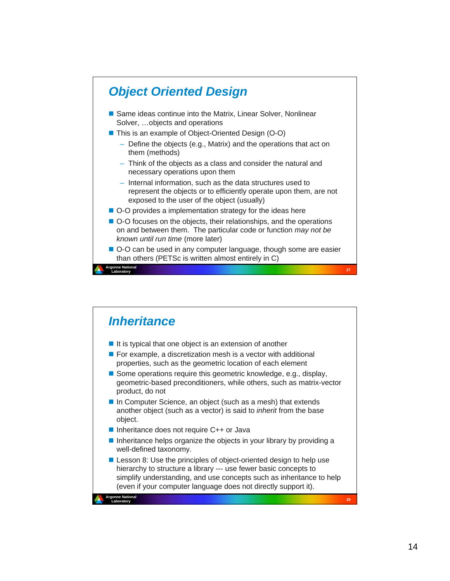

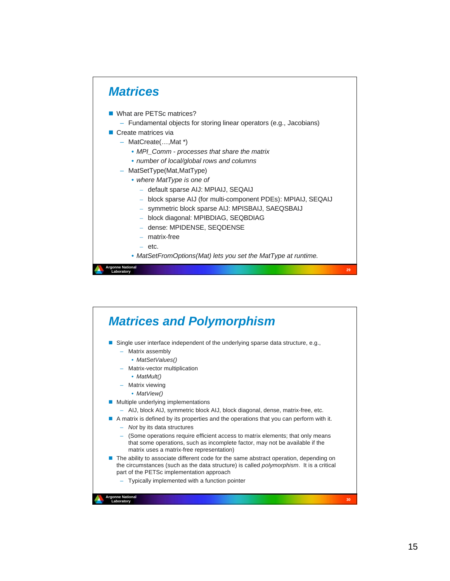

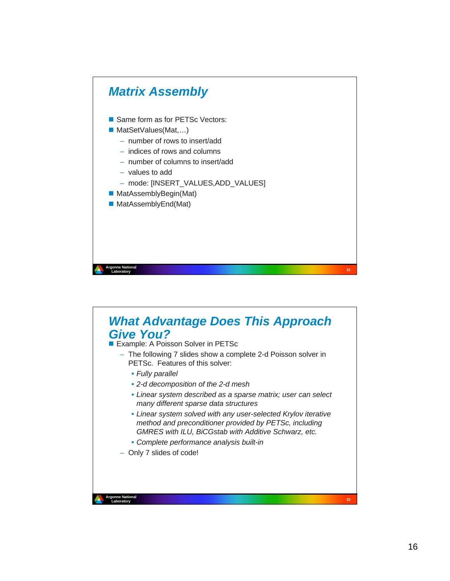

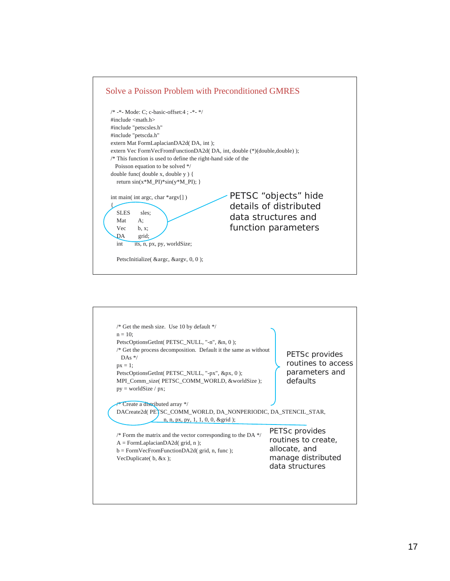

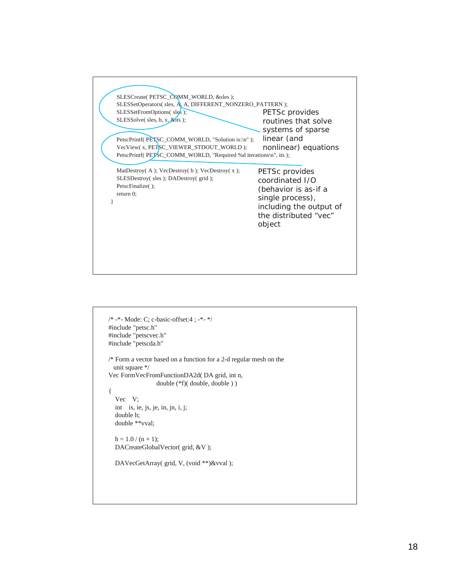

```
/* -*- Mode: C; c-basic-offset:4 ; -*- */
#include "petsc.h"
#include "petscvec.h"
#include "petscda.h"
/* Form a vector based on a function for a 2-d regular mesh on the 
   unit square */
Vec FormVecFromFunctionDA2d( DA grid, int n, 
                   double (*f)( double, double ) )
{
   Vec V;
   int is, ie, js, je, in, jn, i, j;
   double h;
   double **vval;
  h = 1.0 / (n + 1); DACreateGlobalVector( grid, &V );
   DAVecGetArray( grid, V, (void **)&vval );
```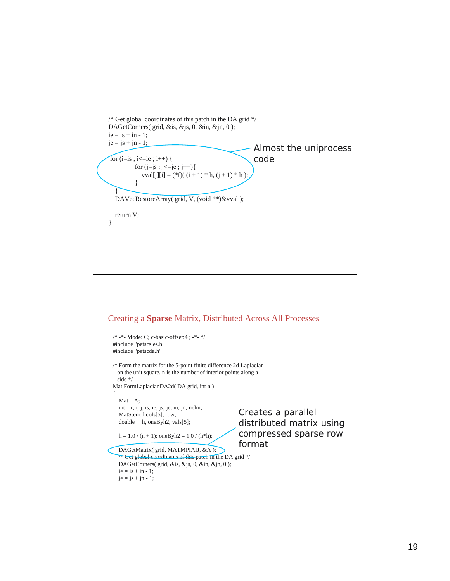

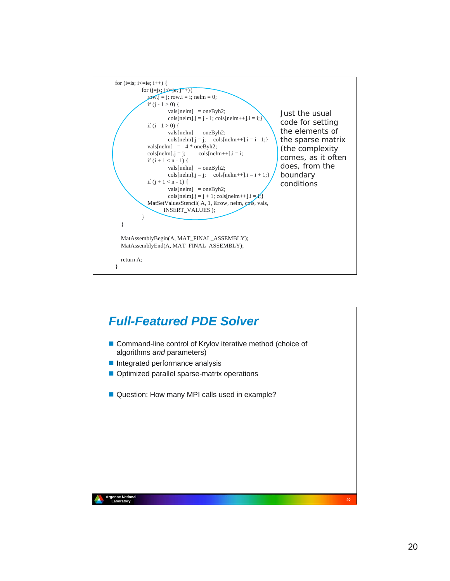

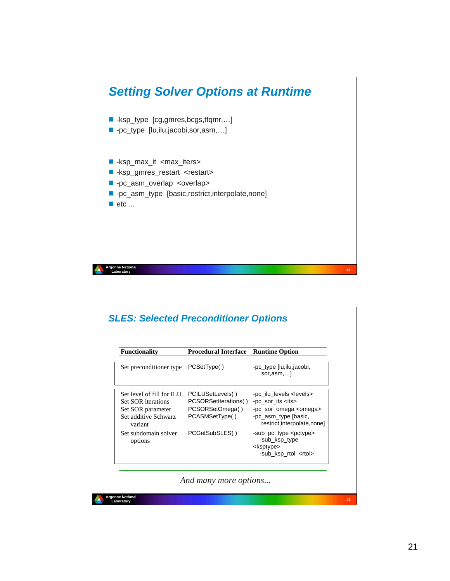

| <b>Functionality</b>                                                                                           | <b>Procedural Interface</b>                                                   | <b>Runtime Option</b>                                                                                                                                    |
|----------------------------------------------------------------------------------------------------------------|-------------------------------------------------------------------------------|----------------------------------------------------------------------------------------------------------------------------------------------------------|
| Set preconditioner type                                                                                        | PCSetType()                                                                   | -pc_type [lu,ilu,jacobi,<br>sor,asm                                                                                                                      |
| Set level of fill for ILU<br><b>Set SOR</b> iterations<br>Set SOR parameter<br>Set additive Schwarz<br>variant | PCILUSetLevels()<br>PCSORSetIterations()<br>PCSORSetOmega()<br>PCASMSetType() | -pc_ilu_levels <levels><br/>-pc sor its <its><br/>-pc_sor_omega <omega><br/>-pc_asm_type [basic,<br/>restrict, interpolate, none]</omega></its></levels> |
| Set subdomain solver<br>options                                                                                | PCGetSubSLES()                                                                | -sub_pc_type <pctype><br/>-sub_ksp_type<br/><ksptype><br/>-sub_ksp_rtol <rtol></rtol></ksptype></pctype>                                                 |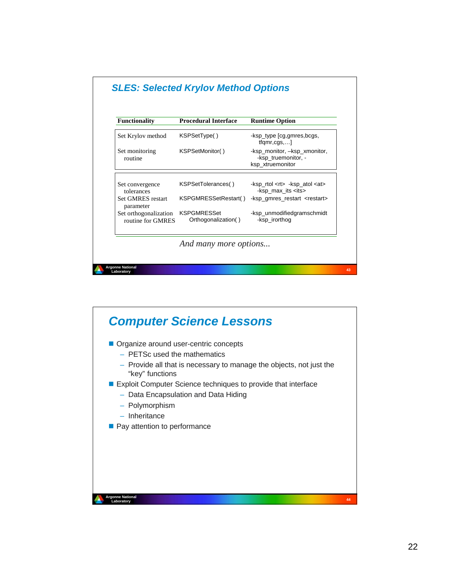

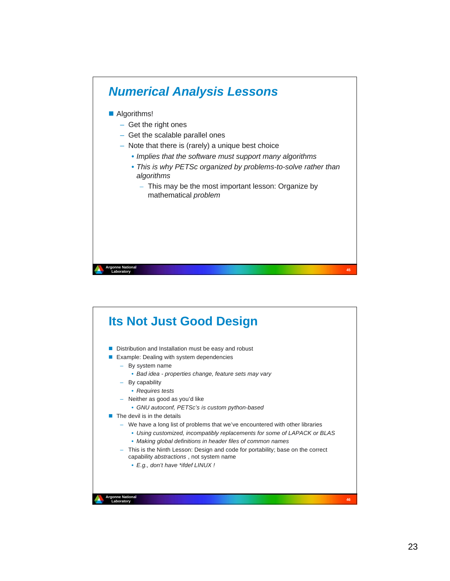

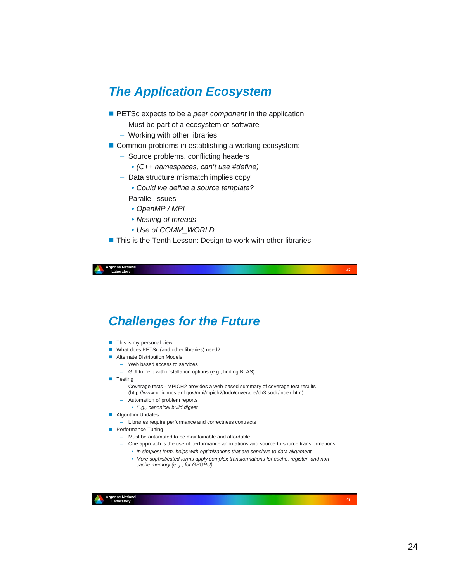

### **<sup>48</sup> Argonne National Laboratory** *Challenges for the Future*  $\blacksquare$  This is my personal view What does PETSc (and other libraries) need? **Alternate Distribution Models** – Web based access to services – GUI to help with installation options (e.g., finding BLAS) **Testing** – Coverage tests - MPICH2 provides a web-based summary of coverage test results (http://www-unix.mcs.anl.gov/mpi/mpich2/todo/coverage/ch3:sock/index.htm) – Automation of problem reports • *E.g., canonical build digest* **Algorithm Updates** – Libraries require performance and correctness contracts **Performance Tuning** – Must be automated to be maintainable and affordable – One approach is the use of performance annotations and source-to-source transformations • *In simplest form, helps with optimizations that are sensitive to data alignment* • *More sophisticated forms apply complex transformations for cache, register, and noncache memory (e.g., for GPGPU)*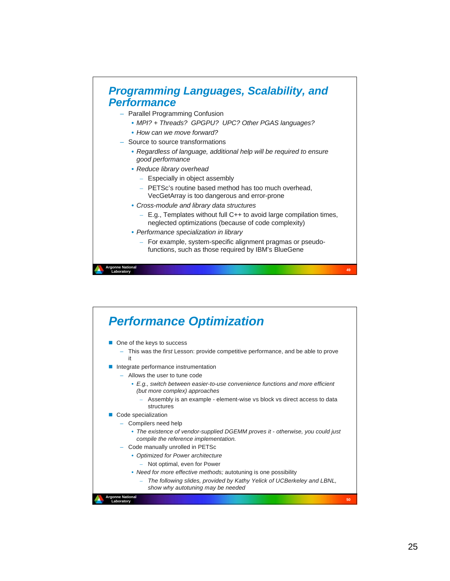

- *MPI? + Threads? GPGPU? UPC? Other PGAS languages?*
- *How can we move forward?*
- Source to source transformations
	- *Regardless of language, additional help will be required to ensure good performance*
	- *Reduce library overhead*
		- Especially in object assembly
		- PETSc's routine based method has too much overhead,
			- VecGetArray is too dangerous and error-prone
	- *Cross-module and library data structures*
		- E.g., Templates without full C++ to avoid large compilation times, neglected optimizations (because of code complexity)
	- *Performance specialization in library*
		- For example, system-specific alignment pragmas or pseudofunctions, such as those required by IBM's BlueGene

**<sup>49</sup> Argonne National Laboratory**

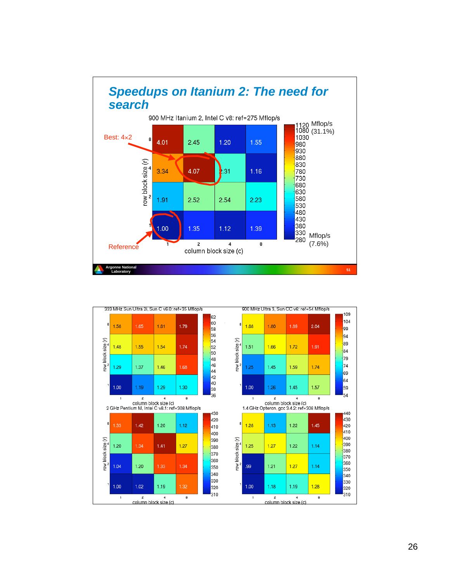

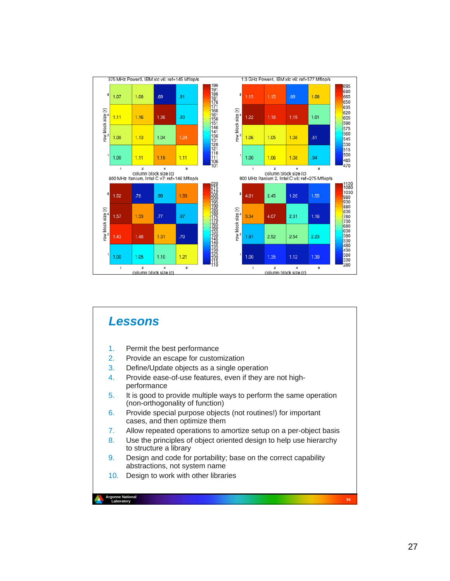

### **<sup>54</sup> Argonne National Argonne Nati** *Lessons* 1. Permit the best performance 2. Provide an escape for customization 3. Define/Update objects as a single operation 4. Provide ease-of-use features, even if they are not highperformance 5. It is good to provide multiple ways to perform the same operation (non-orthogonality of function) 6. Provide special purpose objects (not routines!) for important cases, and then optimize them 7. Allow repeated operations to amortize setup on a per-object basis 8. Use the principles of object oriented design to help use hierarchy to structure a library 9. Design and code for portability; base on the correct capability abstractions, not system name 10. Design to work with other libraries